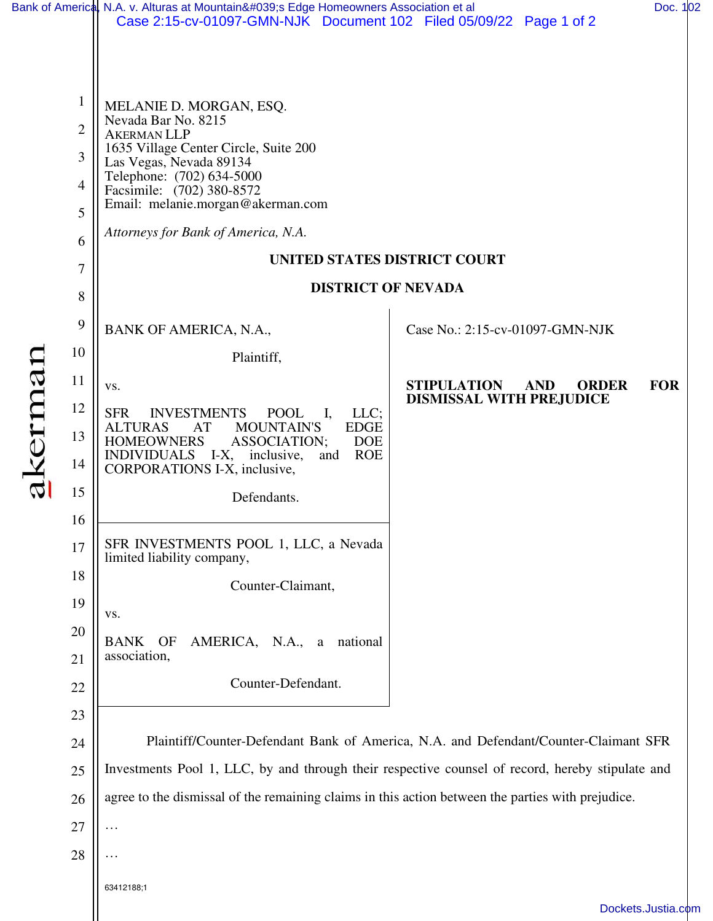|        |                                              | Bank of Americal N.A. v. Alturas at Mountain's Edge Homeowners Association et al<br>Case 2:15-cv-01097-GMN-NJK Document 102 Filed 05/09/22 Page 1 of 2                                                                                                                                                         |                                                                                      | Doc. 102           |
|--------|----------------------------------------------|----------------------------------------------------------------------------------------------------------------------------------------------------------------------------------------------------------------------------------------------------------------------------------------------------------------|--------------------------------------------------------------------------------------|--------------------|
| kermai | 1<br>$\overline{2}$<br>3<br>4<br>5<br>6<br>7 | MELANIE D. MORGAN, ESQ.<br>Nevada Bar No. 8215<br><b>AKERMAN LLP</b><br>1635 Village Center Circle, Suite 200<br>Las Vegas, Nevada 89134<br>Telephone: (702) 634-5000<br>Facsimile: (702) 380-8572<br>Email: melanie.morgan@akerman.com<br>Attorneys for Bank of America, N.A.<br>UNITED STATES DISTRICT COURT |                                                                                      |                    |
|        | 8                                            | <b>DISTRICT OF NEVADA</b>                                                                                                                                                                                                                                                                                      |                                                                                      |                    |
|        | 9                                            | <b>BANK OF AMERICA, N.A.,</b>                                                                                                                                                                                                                                                                                  | Case No.: 2:15-cv-01097-GMN-NJK                                                      |                    |
|        | 10                                           | Plaintiff,                                                                                                                                                                                                                                                                                                     |                                                                                      |                    |
|        | 11                                           | VS.                                                                                                                                                                                                                                                                                                            | STIPULATION AND<br><b>ORDER</b>                                                      | <b>FOR</b>         |
|        | 12                                           | <b>SFR</b><br><b>INVESTMENTS</b><br>POOL<br>$LLC$ ;<br>I,                                                                                                                                                                                                                                                      | DISMISSAL WITH PREJUDICE                                                             |                    |
|        | 13<br>14                                     | <b>ALTURAS</b><br><b>MOUNTAIN'S</b><br>AT<br><b>EDGE</b><br><b>HOMEOWNERS</b><br>ASSOCIATION;<br><b>DOE</b><br><b>ROE</b><br>INDIVIDUALS I-X, inclusive,<br>and<br>CORPORATIONS I-X, inclusive,                                                                                                                |                                                                                      |                    |
|        | 15                                           | Defendants.                                                                                                                                                                                                                                                                                                    |                                                                                      |                    |
|        | 16<br>17                                     | SFR INVESTMENTS POOL 1, LLC, a Nevada                                                                                                                                                                                                                                                                          |                                                                                      |                    |
|        | 18                                           | limited liability company,                                                                                                                                                                                                                                                                                     |                                                                                      |                    |
|        | 19                                           | Counter-Claimant,                                                                                                                                                                                                                                                                                              |                                                                                      |                    |
|        | 20                                           | VS.<br><b>BANK OF</b><br>AMERICA, N.A., a national                                                                                                                                                                                                                                                             |                                                                                      |                    |
|        | 21                                           | association,                                                                                                                                                                                                                                                                                                   |                                                                                      |                    |
|        | 22                                           | Counter-Defendant.                                                                                                                                                                                                                                                                                             |                                                                                      |                    |
|        | 23                                           |                                                                                                                                                                                                                                                                                                                |                                                                                      |                    |
|        | 24                                           |                                                                                                                                                                                                                                                                                                                | Plaintiff/Counter-Defendant Bank of America, N.A. and Defendant/Counter-Claimant SFR |                    |
|        | 25                                           | Investments Pool 1, LLC, by and through their respective counsel of record, hereby stipulate and                                                                                                                                                                                                               |                                                                                      |                    |
|        | 26                                           | agree to the dismissal of the remaining claims in this action between the parties with prejudice.                                                                                                                                                                                                              |                                                                                      |                    |
|        | 27                                           | $\cdots$                                                                                                                                                                                                                                                                                                       |                                                                                      |                    |
|        | 28                                           |                                                                                                                                                                                                                                                                                                                |                                                                                      |                    |
|        |                                              | 63412188;1                                                                                                                                                                                                                                                                                                     |                                                                                      |                    |
|        |                                              |                                                                                                                                                                                                                                                                                                                |                                                                                      | Dockets.Justia.com |